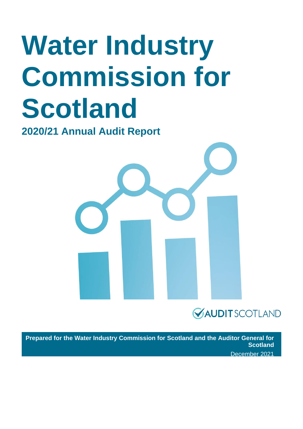# **Water Industry Commission for Scotland**

**2020/21 Annual Audit Report** 





**Prepared for the Water Industry Commission for Scotland and the Auditor General for Scotland** December 2021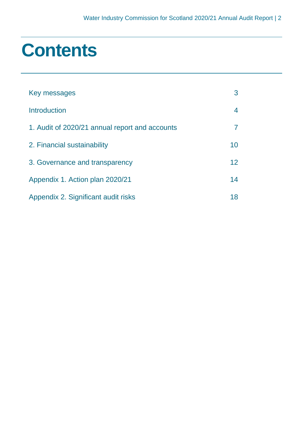### **Contents**

| Key messages                                   | 3                 |
|------------------------------------------------|-------------------|
| Introduction                                   |                   |
| 1. Audit of 2020/21 annual report and accounts |                   |
| 2. Financial sustainability                    | 10                |
| 3. Governance and transparency                 | $12 \overline{ }$ |
| Appendix 1. Action plan 2020/21                | 14                |
| Appendix 2. Significant audit risks            | 18                |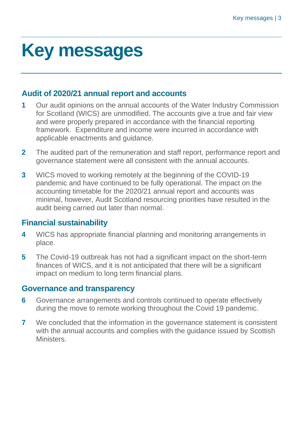### <span id="page-2-0"></span>**Key messages**

### **Audit of 2020/21 annual report and accounts**

- **1** Our audit opinions on the annual accounts of the Water Industry Commission for Scotland (WICS) are unmodified. The accounts give a true and fair view and were properly prepared in accordance with the financial reporting framework. Expenditure and income were incurred in accordance with applicable enactments and guidance.
- **2** The audited part of the remuneration and staff report, performance report and governance statement were all consistent with the annual accounts.
- **3** WICS moved to working remotely at the beginning of the COVID-19 pandemic and have continued to be fully operational. The impact on the accounting timetable for the 2020/21 annual report and accounts was minimal, however, Audit Scotland resourcing priorities have resulted in the audit being carried out later than normal.

### **Financial sustainability**

- **4** WICS has appropriate financial planning and monitoring arrangements in place.
- **5** The Covid-19 outbreak has not had a significant impact on the short-term finances of WICS, and it is not anticipated that there will be a significant impact on medium to long term financial plans.

### **Governance and transparency**

- **6** Governance arrangements and controls continued to operate effectively during the move to remote working throughout the Covid 19 pandemic.
- **7** We concluded that the information in the governance statement is consistent with the annual accounts and complies with the guidance issued by Scottish **Ministers**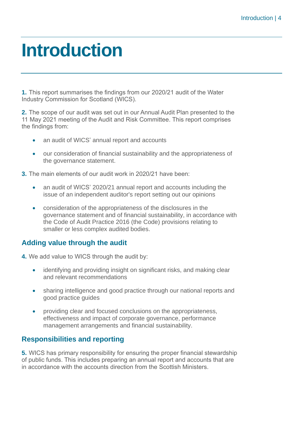### <span id="page-3-0"></span>**Introduction**

**1.** This report summarises the findings from our 2020/21 audit of the Water Industry Commission for Scotland (WICS).

**2.** The scope of our audit was set out in our Annual Audit Plan presented to the 11 May 2021 meeting of the Audit and Risk Committee. This report comprises the findings from:

- an audit of WICS' annual report and accounts
- our consideration of financial sustainability and the appropriateness of the governance statement.

**3.** The main elements of our audit work in 2020/21 have been:

- an audit of WICS' 2020/21 annual report and accounts including the issue of an independent auditor's report setting out our opinions
- consideration of the appropriateness of the disclosures in the governance statement and of financial sustainability, in accordance with the Code of Audit Practice 2016 (the Code) provisions relating to smaller or less complex audited bodies.

### **Adding value through the audit**

- **4.** We add value to WICS through the audit by:
	- identifying and providing insight on significant risks, and making clear and relevant recommendations
	- sharing intelligence and good practice through our national reports and good practice guides
	- providing clear and focused conclusions on the appropriateness, effectiveness and impact of corporate governance, performance management arrangements and financial sustainability.

### **Responsibilities and reporting**

**5.** WICS has primary responsibility for ensuring the proper financial stewardship of public funds. This includes preparing an annual report and accounts that are in accordance with the accounts direction from the Scottish Ministers.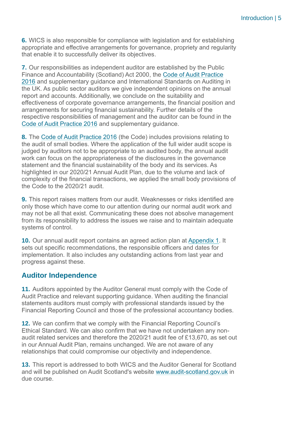**6.** WICS is also responsible for compliance with legislation and for establishing appropriate and effective arrangements for governance, propriety and regularity that enable it to successfully deliver its objectives.

**7.** Our responsibilities as independent auditor are established by the Public Finance and Accountability (Scotland) Act 2000, the [Code of Audit Practice](https://www.audit-scotland.gov.uk/report/code-of-audit-practice-2016)  [2016](https://www.audit-scotland.gov.uk/report/code-of-audit-practice-2016) and supplementary guidance and International Standards on Auditing in the UK. As public sector auditors we give independent opinions on the annual report and accounts. Additionally, we conclude on the suitability and effectiveness of corporate governance arrangements, the financial position and arrangements for securing financial sustainability. Further details of the respective responsibilities of management and the auditor can be found in the [Code of Audit Practice 2016](http://auditscotland.spideronline.co.uk/report/code-of-audit-practice-2016) and supplementary guidance.

**8.** The [Code of Audit Practice 2016](http://www.audit-scotland.gov.uk/report/code-of-audit-practice-2016) (the Code) includes provisions relating to the audit of small bodies. Where the application of the full wider audit scope is judged by auditors not to be appropriate to an audited body, the annual audit work can focus on the appropriateness of the disclosures in the governance statement and the financial sustainability of the body and its services. As highlighted in our 2020/21 Annual Audit Plan, due to the volume and lack of complexity of the financial transactions, we applied the small body provisions of the Code to the 2020/21 audit.

**9.** This report raises matters from our audit. Weaknesses or risks identified are only those which have come to our attention during our normal audit work and may not be all that exist. Communicating these does not absolve management from its responsibility to address the issues we raise and to maintain adequate systems of control.

**10.** Our annual audit report contains an agreed action plan at [Appendix 1.](#page-13-0) It sets out specific recommendations, the responsible officers and dates for implementation. It also includes any outstanding actions from last year and progress against these.

### **Auditor Independence**

**11.** Auditors appointed by the Auditor General must comply with the Code of Audit Practice and relevant supporting guidance. When auditing the financial statements auditors must comply with professional standards issued by the Financial Reporting Council and those of the professional accountancy bodies.

**12.** We can confirm that we comply with the Financial Reporting Council's Ethical Standard. We can also confirm that we have not undertaken any nonaudit related services and therefore the 2020/21 audit fee of £13,670, as set out in our Annual Audit Plan, remains unchanged. We are not aware of any relationships that could compromise our objectivity and independence.

**13.** This report is addressed to both WICS and the Auditor General for Scotland and will be published on Audit Scotland's website [www.audit-scotland.gov.uk](http://www.audit-scotland.gov.uk/) in due course.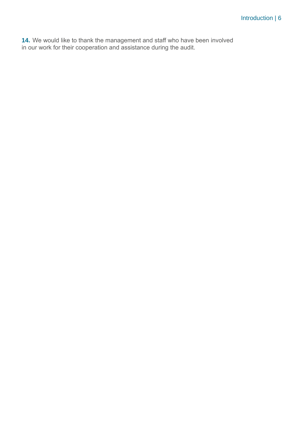**14.** We would like to thank the management and staff who have been involved in our work for their cooperation and assistance during the audit.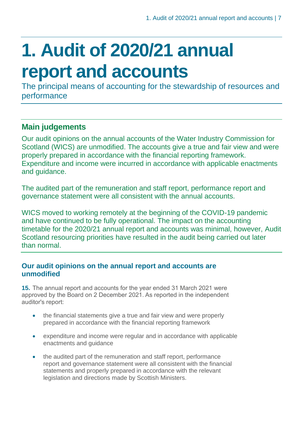## <span id="page-6-0"></span>**1. Audit of 2020/21 annual report and accounts**

The principal means of accounting for the stewardship of resources and performance

### **Main judgements**

Our audit opinions on the annual accounts of the Water Industry Commission for Scotland (WICS) are unmodified. The accounts give a true and fair view and were properly prepared in accordance with the financial reporting framework. Expenditure and income were incurred in accordance with applicable enactments and guidance.

The audited part of the remuneration and staff report, performance report and governance statement were all consistent with the annual accounts.

WICS moved to working remotely at the beginning of the COVID-19 pandemic and have continued to be fully operational. The impact on the accounting timetable for the 2020/21 annual report and accounts was minimal, however, Audit Scotland resourcing priorities have resulted in the audit being carried out later than normal.

### **Our audit opinions on the annual report and accounts are unmodified**

**15.** The annual report and accounts for the year ended 31 March 2021 were approved by the Board on 2 December 2021. As reported in the independent auditor's report:

- the financial statements give a true and fair view and were properly prepared in accordance with the financial reporting framework
- expenditure and income were regular and in accordance with applicable enactments and guidance
- the audited part of the remuneration and staff report, performance report and governance statement were all consistent with the financial statements and properly prepared in accordance with the relevant legislation and directions made by Scottish Ministers.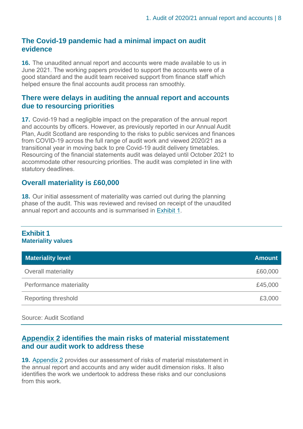#### **The Covid-19 pandemic had a minimal impact on audit evidence**

**16.** The unaudited annual report and accounts were made available to us in June 2021. The working papers provided to support the accounts were of a good standard and the audit team received support from finance staff which helped ensure the final accounts audit process ran smoothly.

#### **There were delays in auditing the annual report and accounts due to resourcing priorities**

**17.** Covid-19 had a negligible impact on the preparation of the annual report and accounts by officers. However, as previously reported in our Annual Audit Plan, Audit Scotland are responding to the risks to public services and finances from COVID-19 across the full range of audit work and viewed 2020/21 as a transitional year in moving back to pre Covid-19 audit delivery timetables. Resourcing of the financial statements audit was delayed until October 2021 to accommodate other resourcing priorities. The audit was completed in line with statutory deadlines.

#### **Overall materiality is £60,000**

**18.** Our initial assessment of materiality was carried out during the planning phase of the audit. This was reviewed and revised on receipt of the unaudited annual report and accounts and is summarised in [Exhibit](#page-7-0) 1.

#### <span id="page-7-0"></span>**Exhibit 1 Materiality values**

| <b>Materiality level</b>   | <b>Amount</b> |
|----------------------------|---------------|
| <b>Overall materiality</b> | £60,000       |
| Performance materiality    | £45,000       |
| <b>Reporting threshold</b> | £3,000        |

Source: Audit Scotland

#### **[Appendix 2](#page-17-0) identifies the main risks of material misstatement and our audit work to address these**

**19.** [Appendix 2](#page-17-0) provides our assessment of risks of material misstatement in the annual report and accounts and any wider audit dimension risks. It also identifies the work we undertook to address these risks and our conclusions from this work.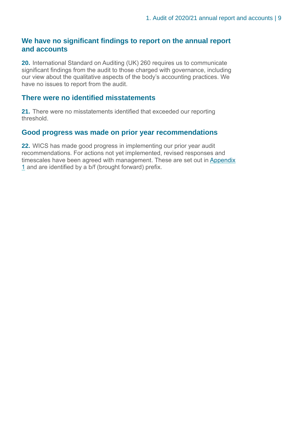#### **We have no significant findings to report on the annual report and accounts**

**20.** International Standard on Auditing (UK) 260 requires us to communicate significant findings from the audit to those charged with governance, including our view about the qualitative aspects of the body's accounting practices. We have no issues to report from the audit.

#### **There were no identified misstatements**

**21.** There were no misstatements identified that exceeded our reporting threshold.

#### **Good progress was made on prior year recommendations**

**22.** WICS has made good progress in implementing our prior year audit recommendations. For actions not yet implemented, revised responses and timescales have been agreed with management. These are set out in Appendix [1](#page-13-0) and are identified by a b/f (brought forward) prefix.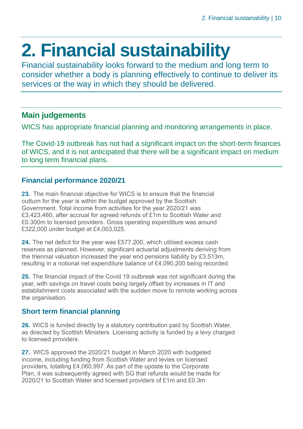### <span id="page-9-0"></span>**2. Financial sustainability**

Financial sustainability looks forward to the medium and long term to consider whether a body is planning effectively to continue to deliver its services or the way in which they should be delivered.

### **Main judgements**

WICS has appropriate financial planning and monitoring arrangements in place.

The Covid-19 outbreak has not had a significant impact on the short-term finances of WICS, and it is not anticipated that there will be a significant impact on medium to long term financial plans.

### **Financial performance 2020/21**

**23.** The main financial objective for WICS is to ensure that the financial outturn for the year is within the budget approved by the Scottish Government. Total income from activities for the year 2020/21 was £3,423,460, after accrual for agreed refunds of £1m to Scottish Water and £0.300m to licensed providers. Gross operating expenditure was around £322,000 under budget at £4,003,025.

**24.** The net deficit for the year was £577,200, which utilised excess cash reserves as planned. However, significant actuarial adjustments deriving from the triennial valuation increased the year end pensions liability by £3.513m, resulting in a notional net expenditure balance of £4,090,200 being recorded.

**25.** The financial impact of the Covid 19 outbreak was not significant during the year, with savings on travel costs being largely offset by increases in IT and establishment costs associated with the sudden move to remote working across the organisation.

### **Short term financial planning**

**26.** WICS is funded directly by a statutory contribution paid by Scottish Water, as directed by Scottish Ministers. Licensing activity is funded by a levy charged to licensed providers.

**27.** WICS approved the 2020/21 budget in March 2020 with budgeted income, including funding from Scottish Water and levies on licensed providers, totalling £4,060,997. As part of the update to the Corporate Plan, it was subsequently agreed with SG that refunds would be made for 2020/21 to Scottish Water and licensed providers of £1m and £0.3m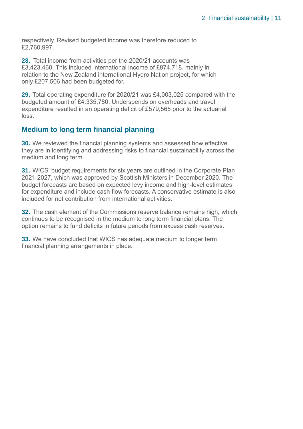respectively. Revised budgeted income was therefore reduced to £2,760,997.

**28.** Total income from activities per the 2020/21 accounts was £3,423,460. This included international income of £874,718, mainly in relation to the New Zealand international Hydro Nation project, for which only £207,506 had been budgeted for.

**29.** Total operating expenditure for 2020/21 was £4,003,025 compared with the budgeted amount of £4,335,780. Underspends on overheads and travel expenditure resulted in an operating deficit of £579,565 prior to the actuarial loss.

### **Medium to long term financial planning**

**30.** We reviewed the financial planning systems and assessed how effective they are in identifying and addressing risks to financial sustainability across the medium and long term.

**31.** WICS' budget requirements for six years are outlined in the Corporate Plan 2021-2027, which was approved by Scottish Ministers in December 2020. The budget forecasts are based on expected levy income and high-level estimates for expenditure and include cash flow forecasts. A conservative estimate is also included for net contribution from international activities.

**32.** The cash element of the Commissions reserve balance remains high, which continues to be recognised in the medium to long term financial plans. The option remains to fund deficits in future periods from excess cash reserves.

**33.** We have concluded that WICS has adequate medium to longer term financial planning arrangements in place.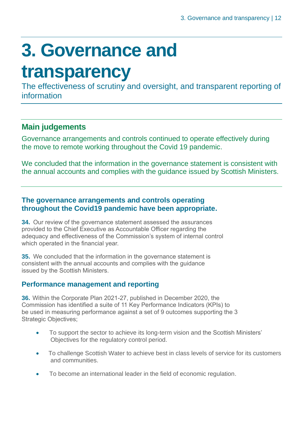### <span id="page-11-0"></span>**3. Governance and**

### **transparency**

The effectiveness of scrutiny and oversight, and transparent reporting of information

### **Main judgements**

Governance arrangements and controls continued to operate effectively during the move to remote working throughout the Covid 19 pandemic.

We concluded that the information in the governance statement is consistent with the annual accounts and complies with the guidance issued by Scottish Ministers.

#### **The governance arrangements and controls operating throughout the Covid19 pandemic have been appropriate.**

**34.** Our review of the governance statement assessed the assurances provided to the Chief Executive as Accountable Officer regarding the adequacy and effectiveness of the Commission's system of internal control which operated in the financial year.

**35.** We concluded that the information in the governance statement is consistent with the annual accounts and complies with the guidance issued by the Scottish Ministers.

### **Performance management and reporting**

**36.** Within the Corporate Plan 2021-27, published in December 2020, the Commission has identified a suite of 11 Key Performance Indicators (KPIs) to be used in measuring performance against a set of 9 outcomes supporting the 3 Strategic Objectives;

- To support the sector to achieve its long-term vision and the Scottish Ministers' Objectives for the regulatory control period.
- To challenge Scottish Water to achieve best in class levels of service for its customers and communities.
- To become an international leader in the field of economic regulation.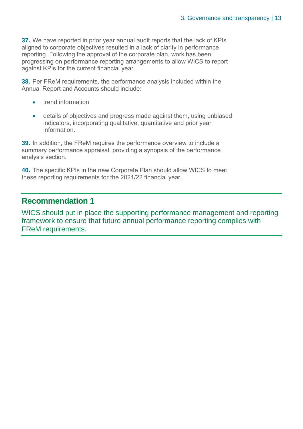**37.** We have reported in prior year annual audit reports that the lack of KPIs aligned to corporate objectives resulted in a lack of clarity in performance reporting. Following the approval of the corporate plan, work has been progressing on performance reporting arrangements to allow WICS to report against KPIs for the current financial year.

**38.** Per FReM requirements, the performance analysis included within the Annual Report and Accounts should include:

- trend information
- details of objectives and progress made against them, using unbiased indicators, incorporating qualitative, quantitative and prior year information.

**39.** In addition, the FReM requires the performance overview to include a summary performance appraisal, providing a synopsis of the performance analysis section.

**40.** The specific KPIs in the new Corporate Plan should allow WICS to meet these reporting requirements for the 2021/22 financial year.

### **Recommendation 1**

WICS should put in place the supporting performance management and reporting framework to ensure that future annual performance reporting complies with FReM requirements.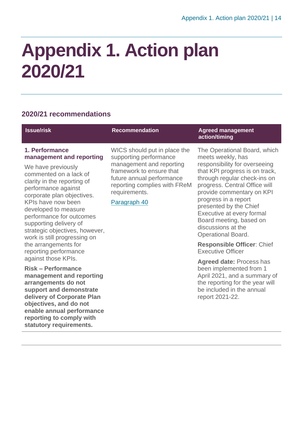be included in the annual

report 2021-22.

### <span id="page-13-0"></span>**Appendix 1. Action plan 2020/21**

### **2020/21 recommendations**

| <b>Issue/risk</b>                                                                                                                                                                                                                                                                                                                                    | <b>Recommendation</b>                                                                                                                                                                                        | <b>Agreed management</b><br>action/timing                                                                                                                                                                                                                                                                                                                                       |
|------------------------------------------------------------------------------------------------------------------------------------------------------------------------------------------------------------------------------------------------------------------------------------------------------------------------------------------------------|--------------------------------------------------------------------------------------------------------------------------------------------------------------------------------------------------------------|---------------------------------------------------------------------------------------------------------------------------------------------------------------------------------------------------------------------------------------------------------------------------------------------------------------------------------------------------------------------------------|
| 1. Performance<br>management and reporting<br>We have previously<br>commented on a lack of<br>clarity in the reporting of<br>performance against<br>corporate plan objectives.<br>KPIs have now been<br>developed to measure<br>performance for outcomes<br>supporting delivery of<br>strategic objectives, however,<br>work is still progressing on | WICS should put in place the<br>supporting performance<br>management and reporting<br>framework to ensure that<br>future annual performance<br>reporting complies with FReM<br>requirements.<br>Paragraph 40 | The Operational Board, which<br>meets weekly, has<br>responsibility for overseeing<br>that KPI progress is on track,<br>through regular check-ins on<br>progress. Central Office will<br>provide commentary on KPI<br>progress in a report<br>presented by the Chief<br>Executive at every formal<br>Board meeting, based on<br>discussions at the<br><b>Operational Board.</b> |
| the arrangements for<br>reporting performance                                                                                                                                                                                                                                                                                                        |                                                                                                                                                                                                              | <b>Responsible Officer: Chief</b><br><b>Executive Officer</b>                                                                                                                                                                                                                                                                                                                   |
| against those KPIs.<br><b>Risk – Performance</b><br>management and reporting<br>arrangements do not                                                                                                                                                                                                                                                  |                                                                                                                                                                                                              | <b>Agreed date: Process has</b><br>been implemented from 1<br>April 2021, and a summary of<br>the reporting for the year will                                                                                                                                                                                                                                                   |

**arrangements do not support and demonstrate delivery of Corporate Plan objectives, and do not enable annual performance reporting to comply with statutory requirements.**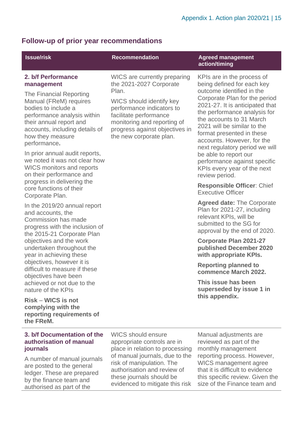### **Follow-up of prior year recommendations**

authorised as part of the

| <b>Issue/risk</b>                                                                                                                                                                                                                                                                                                                                                                                                                        | <b>Recommendation</b>                                                                                                                                                                                                                                 | <b>Agreed management</b><br>action/timing                                                                                                                                                                                                                                                                                                                                                                                                                                                                                    |  |
|------------------------------------------------------------------------------------------------------------------------------------------------------------------------------------------------------------------------------------------------------------------------------------------------------------------------------------------------------------------------------------------------------------------------------------------|-------------------------------------------------------------------------------------------------------------------------------------------------------------------------------------------------------------------------------------------------------|------------------------------------------------------------------------------------------------------------------------------------------------------------------------------------------------------------------------------------------------------------------------------------------------------------------------------------------------------------------------------------------------------------------------------------------------------------------------------------------------------------------------------|--|
| 2. b/f Performance<br>management<br>The Financial Reporting<br>Manual (FReM) requires<br>bodies to include a<br>performance analysis within<br>their annual report and<br>accounts, including details of<br>how they measure<br>performance.<br>In prior annual audit reports,<br>we noted it was not clear how<br><b>WICS monitors and reports</b><br>on their performance and<br>progress in delivering the<br>core functions of their | WICS are currently preparing<br>the 2021-2027 Corporate<br>Plan.<br>WICS should identify key<br>performance indicators to<br>facilitate performance<br>monitoring and reporting of<br>progress against objectives in<br>the new corporate plan.       | KPIs are in the process of<br>being defined for each key<br>outcome identified in the<br>Corporate Plan for the period<br>2021-27. It is anticipated that<br>the performance analysis for<br>the accounts to 31 March<br>2021 will be similar to the<br>format presented in these<br>accounts. However, for the<br>next regulatory period we will<br>be able to report our<br>performance against specific<br>KPIs every year of the next<br>review period.<br><b>Responsible Officer: Chief</b><br><b>Executive Officer</b> |  |
| Corporate Plan.<br>In the 2019/20 annual report<br>and accounts, the<br>Commission has made<br>progress with the inclusion of<br>the 2015-21 Corporate Plan<br>objectives and the work<br>undertaken throughout the                                                                                                                                                                                                                      |                                                                                                                                                                                                                                                       | <b>Agreed date: The Corporate</b><br>Plan for 2021-27, including<br>relevant KPIs, will be<br>submitted to the SG for<br>approval by the end of 2020.<br><b>Corporate Plan 2021-27</b><br>published December 2020                                                                                                                                                                                                                                                                                                            |  |
| year in achieving these<br>objectives, however it is<br>difficult to measure if these<br>objectives have been<br>achieved or not due to the<br>nature of the KPIs                                                                                                                                                                                                                                                                        |                                                                                                                                                                                                                                                       | with appropriate KPIs.<br><b>Reporting planned to</b><br>commence March 2022.<br>This issue has been<br>superseded by issue 1 in                                                                                                                                                                                                                                                                                                                                                                                             |  |
| <b>Risk – WICS is not</b><br>complying with the<br>reporting requirements of<br>the FReM.                                                                                                                                                                                                                                                                                                                                                |                                                                                                                                                                                                                                                       | this appendix.                                                                                                                                                                                                                                                                                                                                                                                                                                                                                                               |  |
| 3. b/f Documentation of the<br>authorisation of manual<br>journals<br>A number of manual journals<br>are posted to the general<br>ledger. These are prepared<br>by the finance team and                                                                                                                                                                                                                                                  | <b>WICS should ensure</b><br>appropriate controls are in<br>place in relation to processing<br>of manual journals, due to the<br>risk of manipulation. The<br>authorisation and review of<br>these journals should be<br>donood to mitianto thin rink | Manual adjustments are<br>reviewed as part of the<br>monthly management<br>reporting process. However,<br>WICS management agree<br>that it is difficult to evidence<br>this specific review. Given the<br>o of the Finance toom and                                                                                                                                                                                                                                                                                          |  |

evidenced to mitigate this risk size of the Finance team and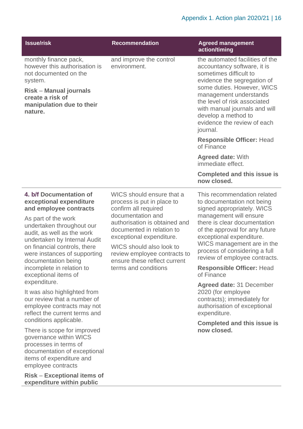| <b>Issue/risk</b>                                                                                                                                                                                                                                                                                                                                          | <b>Recommendation</b>                                                                                                                                                                                                                                                                                              | <b>Agreed management</b><br>action/timing                                                                                                                                                                                                                                                                                                                         |
|------------------------------------------------------------------------------------------------------------------------------------------------------------------------------------------------------------------------------------------------------------------------------------------------------------------------------------------------------------|--------------------------------------------------------------------------------------------------------------------------------------------------------------------------------------------------------------------------------------------------------------------------------------------------------------------|-------------------------------------------------------------------------------------------------------------------------------------------------------------------------------------------------------------------------------------------------------------------------------------------------------------------------------------------------------------------|
| monthly finance pack,<br>however this authorisation is<br>not documented on the<br>system.<br><b>Risk - Manual journals</b><br>create a risk of<br>manipulation due to their<br>nature.                                                                                                                                                                    | and improve the control<br>environment.                                                                                                                                                                                                                                                                            | the automated facilities of the<br>accountancy software, it is<br>sometimes difficult to<br>evidence the segregation of<br>some duties. However, WICS<br>management understands<br>the level of risk associated<br>with manual journals and will<br>develop a method to<br>evidence the review of each<br>journal.                                                |
|                                                                                                                                                                                                                                                                                                                                                            |                                                                                                                                                                                                                                                                                                                    | <b>Responsible Officer: Head</b><br>of Finance                                                                                                                                                                                                                                                                                                                    |
|                                                                                                                                                                                                                                                                                                                                                            |                                                                                                                                                                                                                                                                                                                    | <b>Agreed date: With</b><br>immediate effect.                                                                                                                                                                                                                                                                                                                     |
|                                                                                                                                                                                                                                                                                                                                                            |                                                                                                                                                                                                                                                                                                                    | <b>Completed and this issue is</b><br>now closed.                                                                                                                                                                                                                                                                                                                 |
| 4. b/f Documentation of<br>exceptional expenditure<br>and employee contracts<br>As part of the work<br>undertaken throughout our<br>audit, as well as the work<br>undertaken by Internal Audit<br>on financial controls, there<br>were instances of supporting<br>documentation being<br>incomplete in relation to<br>exceptional items of<br>expenditure. | WICS should ensure that a<br>process is put in place to<br>confirm all required<br>documentation and<br>authorisation is obtained and<br>documented in relation to<br>exceptional expenditure.<br>WICS should also look to<br>review employee contracts to<br>ensure these reflect current<br>terms and conditions | This recommendation related<br>to documentation not being<br>signed appropriately. WICS<br>management will ensure<br>there is clear documentation<br>of the approval for any future<br>exceptional expenditure.<br>WICS management are in the<br>process of considering a full<br>review of employee contracts.<br><b>Responsible Officer: Head</b><br>of Finance |
| It was also highlighted from<br>our review that a number of<br>employee contracts may not<br>reflect the current terms and<br>conditions applicable.                                                                                                                                                                                                       |                                                                                                                                                                                                                                                                                                                    | Agreed date: 31 December<br>2020 (for employee<br>contracts); immediately for<br>authorisation of exceptional<br>expenditure.<br><b>Completed and this issue is</b>                                                                                                                                                                                               |
| There is scope for improved                                                                                                                                                                                                                                                                                                                                |                                                                                                                                                                                                                                                                                                                    | now closed.                                                                                                                                                                                                                                                                                                                                                       |

governance within WICS processes in terms of documentation of exceptional items of expenditure and employee contracts

**Risk** – **Exceptional items of expenditure within public**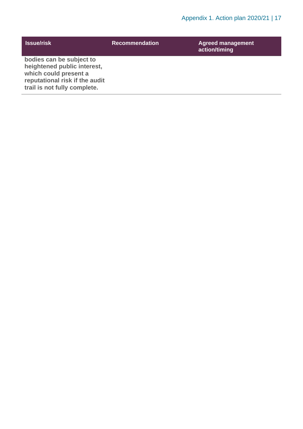| <b>Issue/risk</b>                                                                                                                                  | <b>Recommendation</b> | <b>Agreed management</b><br>action/timing |
|----------------------------------------------------------------------------------------------------------------------------------------------------|-----------------------|-------------------------------------------|
| bodies can be subject to<br>heightened public interest,<br>which could present a<br>reputational risk if the audit<br>trail is not fully complete. |                       |                                           |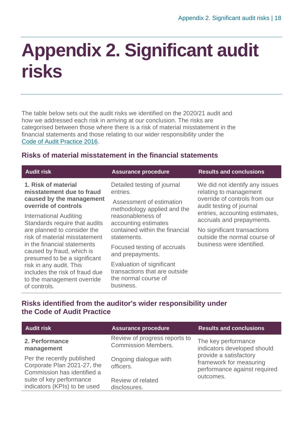### <span id="page-17-0"></span>**Appendix 2. Significant audit risks**

The table below sets out the audit risks we identified on the 2020/21 audit and how we addressed each risk in arriving at our conclusion. The risks are categorised between those where there is a risk of material misstatement in the financial statements and those relating to our wider responsibility under the [Code of Audit Practice 2016.](http://www.audit-scotland.gov.uk/report/code-of-audit-practice-2016)

### **Risks of material misstatement in the financial statements**

| <b>Audit risk</b>                                                                                       | <b>Assurance procedure</b>                                                                      | <b>Results and conclusions</b> |
|---------------------------------------------------------------------------------------------------------|-------------------------------------------------------------------------------------------------|--------------------------------|
| 1. Risk of material                                                                                     | Detailed testing of journal                                                                     | We did not identify any issues |
| misstatement due to fraud                                                                               | entries.                                                                                        | relating to management         |
| caused by the management                                                                                | Assessment of estimation                                                                        | override of controls from our  |
| override of controls                                                                                    | methodology applied and the                                                                     | audit testing of journal       |
| International Auditing                                                                                  | reasonableness of                                                                               | entries, accounting estimates, |
| Standards require that audits                                                                           | accounting estimates                                                                            | accruals and prepayments.      |
| are planned to consider the                                                                             | contained within the financial                                                                  | No significant transactions    |
| risk of material misstatement                                                                           | statements.                                                                                     | outside the normal course of   |
| in the financial statements<br>caused by fraud, which is<br>presumed to be a significant                | Focused testing of accruals<br>and prepayments.                                                 | business were identified.      |
| risk in any audit. This<br>includes the risk of fraud due<br>to the management override<br>of controls. | Evaluation of significant<br>transactions that are outside<br>the normal course of<br>business. |                                |

### **Risks identified from the auditor's wider responsibility under the Code of Audit Practice**

| <b>Audit risk</b>                                                                        | <b>Assurance procedure</b>                                  | <b>Results and conclusions</b>                                                                 |
|------------------------------------------------------------------------------------------|-------------------------------------------------------------|------------------------------------------------------------------------------------------------|
| 2. Performance<br>management                                                             | Review of progress reports to<br><b>Commission Members.</b> | The key performance<br>indicators developed should                                             |
| Per the recently published<br>Corporate Plan 2021-27, the<br>Commission has identified a | Ongoing dialogue with<br>officers.                          | provide a satisfactory<br>framework for measuring<br>performance against required<br>outcomes. |
| suite of key performance<br>indicators (KPIs) to be used                                 | Review of related<br>disclosures.                           |                                                                                                |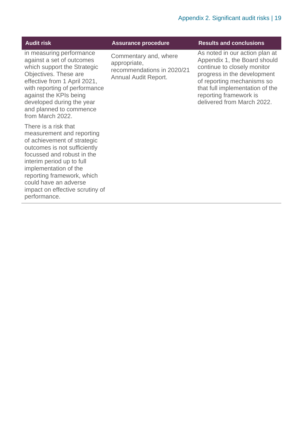| <b>Audit risk</b>                                                                                                                                                                                                                                                                                              | <b>Assurance procedure</b>                                                                  | <b>Results and conclusions</b>                                                                                                                                                                                                                        |
|----------------------------------------------------------------------------------------------------------------------------------------------------------------------------------------------------------------------------------------------------------------------------------------------------------------|---------------------------------------------------------------------------------------------|-------------------------------------------------------------------------------------------------------------------------------------------------------------------------------------------------------------------------------------------------------|
| in measuring performance<br>against a set of outcomes<br>which support the Strategic<br>Objectives. These are<br>effective from 1 April 2021,<br>with reporting of performance<br>against the KPIs being<br>developed during the year<br>and planned to commence<br>from March 2022.                           | Commentary and, where<br>appropriate,<br>recommendations in 2020/21<br>Annual Audit Report. | As noted in our action plan at<br>Appendix 1, the Board should<br>continue to closely monitor<br>progress in the development<br>of reporting mechanisms so<br>that full implementation of the<br>reporting framework is<br>delivered from March 2022. |
| There is a risk that<br>measurement and reporting<br>of achievement of strategic<br>outcomes is not sufficiently<br>focussed and robust in the<br>interim period up to full<br>implementation of the<br>reporting framework, which<br>could have an adverse<br>impact on effective scrutiny of<br>performance. |                                                                                             |                                                                                                                                                                                                                                                       |